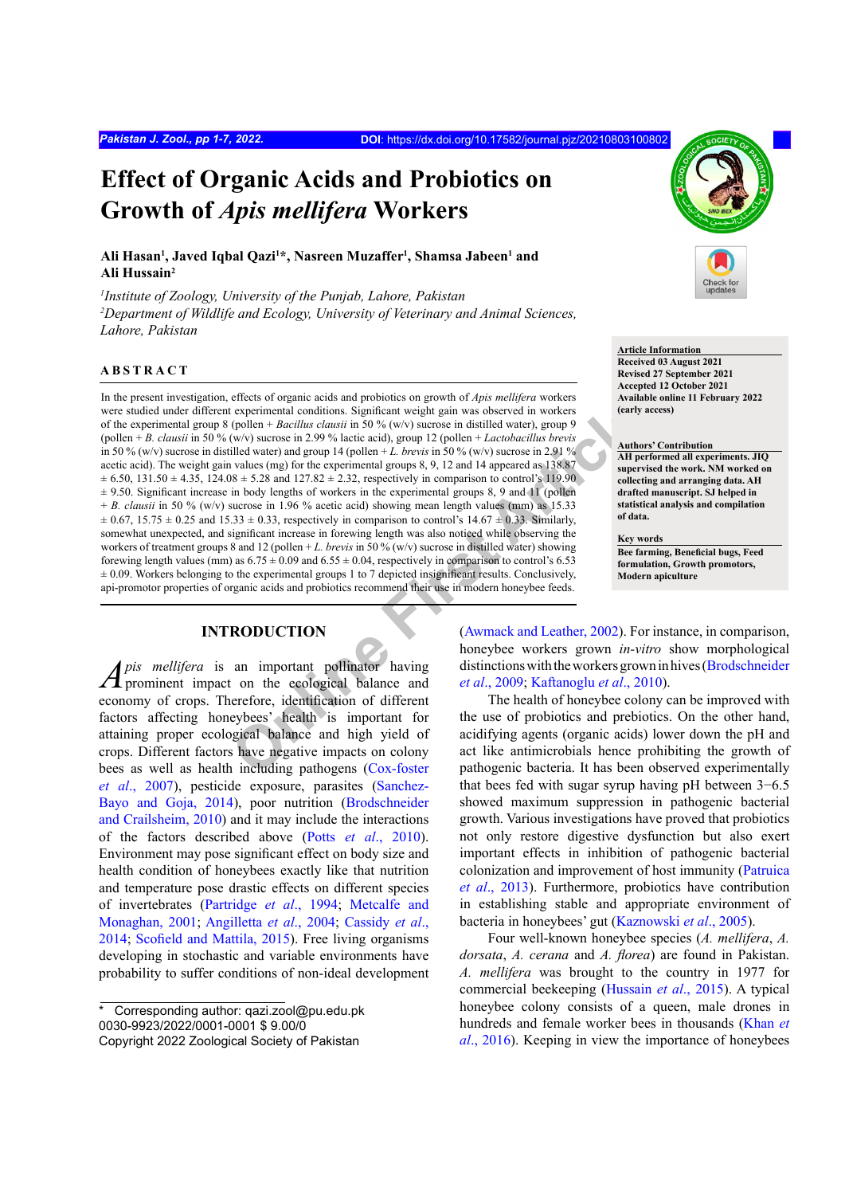# **Effect of Organic Acids and Probiotics on Growth of** *Apis mellifera* **Workers**

## Ali Hasan<sup>1</sup>, Javed Iqbal Qazi<sup>1\*</sup>, Nasreen Muzaffer<sup>1</sup>, Shamsa Jabeen<sup>1</sup> and **Ali Hussain2**

*1 Institute of Zoology, University of the Punjab, Lahore, Pakistan* <sup>2</sup>Department of Wildlife and Ecology, University of Veterinary and Animal Sciences, *Lahore, Pakistan*

### **ABSTRACT**

**Example 11** at the experimental conditions. Significant weight gain was observed in workers (nother + Bacillus clausi in 50 % (w/v) sucrose in issuiled water) and  $\left(\frac{W}{N}\right)$  and  $\left(\frac{W}{N}\right)$  and  $\left(\frac{W}{N}\right)$  and  $\left$ In the present investigation, effects of organic acids and probiotics on growth of *Apis mellifera* workers were studied under different experimental conditions. Significant weight gain was observed in workers of the experimental group 8 (pollen + *Bacillus clausii* in 50 % (w/v) sucrose in distilled water), group 9 (pollen + *B. clausii* in 50 % (w/v) sucrose in 2.99 % lactic acid), group 12 (pollen + *Lactobacillus brevis* in 50 % (w/v) sucrose in distilled water) and group 14 (pollen + *L. brevis* in 50 % (w/v) sucrose in 2.91 % acetic acid). The weight gain values (mg) for the experimental groups 8, 9, 12 and 14 appeared as 138.87  $\pm$  6.50, 131.50  $\pm$  4.35, 124.08  $\pm$  5.28 and 127.82  $\pm$  2.32, respectively in comparison to control's 119.90  $\pm$  9.50. Significant increase in body lengths of workers in the experimental groups 8, 9 and 11 (pollen + *B. clausii* in 50 % (w/v) sucrose in 1.96 % acetic acid) showing mean length values (mm) as 15.33  $\pm$  0.67, 15.75  $\pm$  0.25 and 15.33  $\pm$  0.33, respectively in comparison to control's 14.67  $\pm$  0.33. Similarly, somewhat unexpected, and significant increase in forewing length was also noticed while observing the workers of treatment groups 8 and 12 (pollen + *L. brevis* in 50 % (w/v) sucrose in distilled water) showing forewing length values (mm) as  $6.75 \pm 0.09$  and  $6.55 \pm 0.04$ , respectively in comparison to control's 6.53  $\pm$  0.09. Workers belonging to the experimental groups 1 to 7 depicted insignificant results. Conclusively, api-promotor properties of organic acids and probiotics recommend their use in modern honeybee feeds.

## **INTRODUCTION**

*Apis mellifera* is an important pollinator having  $\Lambda$  prominent impact on the ecological balance and economy of crops. Therefore, identification of different factors affecting honeybees' health is important for attaining proper ecological balance and high yield of crops. Different factors have negative impacts on colony bees as well as health including pathogens (Cox-foster *et al*[., 2007](#page-5-0)), pesticide exposure, parasites ([Sanchez-](#page-6-0)[Bayo and Goja, 2014\)](#page-6-0), poor nutrition ([Brodschneider](#page-5-1) [and Crailsheim, 2010](#page-5-1)) and it may include the interactions of the factors described above (Potts *et al*[., 2010](#page-6-1)). Environment may pose significant effect on body size and health condition of honeybees exactly like that nutrition and temperature pose drastic effects on different species of invertebrates [\(Partridge](#page-6-2) *et al*., 1994; [Metcalfe and](#page-6-3) [Monaghan, 2001;](#page-6-3) [Angilletta](#page-5-2) *et al*., 2004; [Cassidy](#page-5-3) *et al*., [2014;](#page-5-3) [Scofield and Mattila, 2015](#page-6-4)). Free living organisms developing in stochastic and variable environments have probability to suffer conditions of non-ideal development



**Article Information Received 03 August 2021 Revised 27 September 2021 Accepted 12 October 2021 Available online 11 February 2022 (early access)**

#### **Authors' Contribution AH performed all experiments. JIQ supervised the work. NM worked on collecting and arranging data. AH**

**drafted manuscript. SJ helped in statistical analysis and compilation of data.**

**Key words Bee farming, Beneficial bugs, Feed formulation, Growth promotors, Modern apiculture**

(Awmack and Leather, 2002). For instance, in comparison, honeybee workers grown *in-vitro* show morphological distinctions with the workers grown in hives (Brodschneider *et al*., 2009; Kaftanoglu *et al*., 2010).

The health of honeybee colony can be improved with the use of probiotics and prebiotics. On the other hand, acidifying agents (organic acids) lower down the pH and act like antimicrobials hence prohibiting the growth of pathogenic bacteria. It has been observed experimentally that bees fed with sugar syrup having pH between 3−6.5 showed maximum suppression in pathogenic bacterial growth. Various investigations have proved that probiotics not only restore digestive dysfunction but also exert important effects in inhibition of pathogenic bacterial colonization and improvement of host immunity ([Patruica](#page-6-5) *et al*[., 2013\)](#page-6-5). Furthermore, probiotics have contribution in establishing stable and appropriate environment of bacteria in honeybees' gut (Kaznowski *et al*., 2005).

Four well-known honeybee species (*A. mellifera*, *A. dorsata*, *A. cerana* and *A. florea*) are found in Pakistan. *A. mellifera* was brought to the country in 1977 for commercial beekeeping [\(Hussain](#page-5-6) *et al*., 2015). A typical honeybee colony consists of a queen, male drones in hundreds and female worker bees in thousands [\(Khan](#page-6-6) *et al*[., 2016\)](#page-6-6). Keeping in view the importance of honeybees

<sup>\*</sup>Corresponding author: qazi.zool@pu.edu.pk 0030-9923/2022/0001-0001 \$ 9.00/0

Copyright 2022 Zoological Society of Pakistan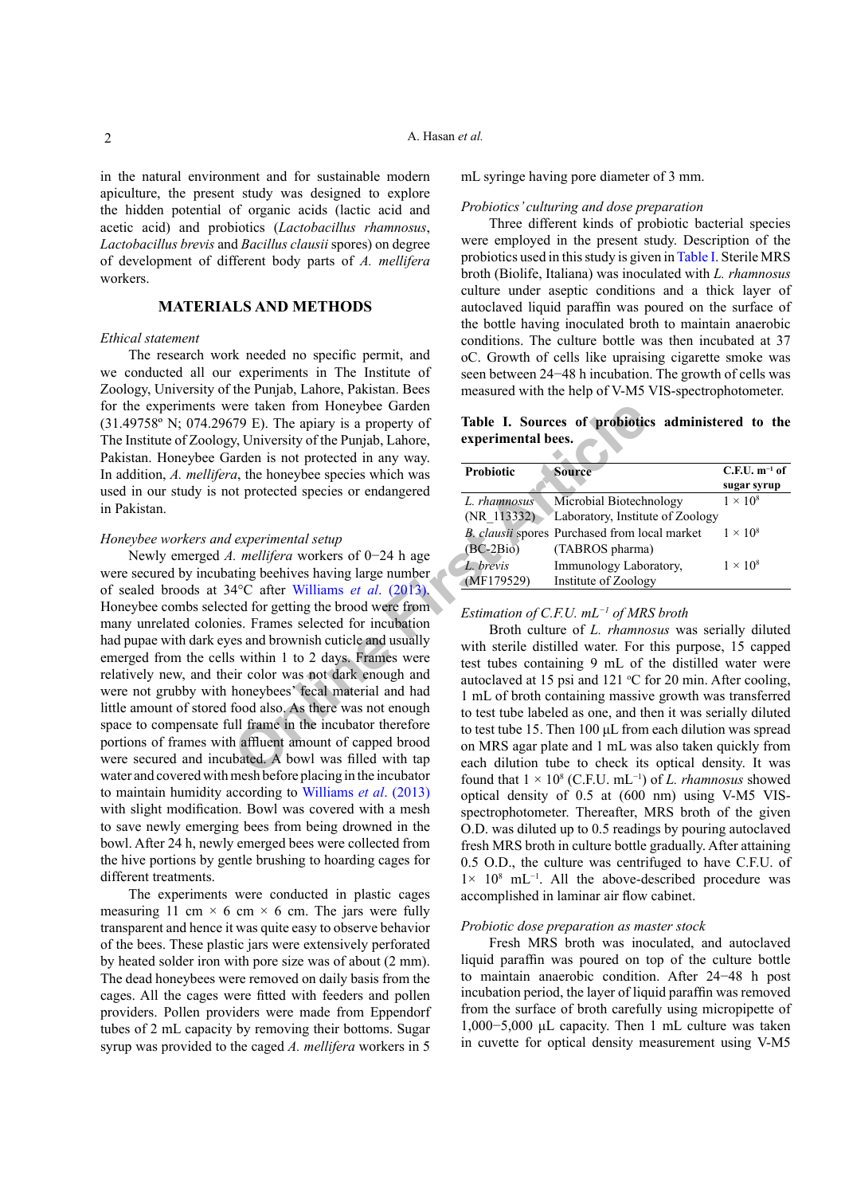in the natural environment and for sustainable modern apiculture, the present study was designed to explore the hidden potential of organic acids (lactic acid and acetic acid) and probiotics (*Lactobacillus rhamnosus*, *Lactobacillus brevis* and *Bacillus clausii* spores) on degree of development of different body parts of *A. mellifera* workers.

#### **MATERIALS AND METHODS**

#### *Ethical statement*

The research work needed no specific permit, and we conducted all our experiments in The Institute of Zoology, University of the Punjab, Lahore, Pakistan. Bees for the experiments were taken from Honeybee Garden (31.49758º N; 074.29679 E). The apiary is a property of The Institute of Zoology, University of the Punjab, Lahore, Pakistan. Honeybee Garden is not protected in any way. In addition, *A. mellifera*, the honeybee species which was used in our study is not protected species or endangered in Pakistan.

#### *Honeybee workers and experimental setup*

For taken from Honeybee Garden<br>
(79 E). The apiary is a property of<br>
Table **I.** Sources of **probiotic**<br>
Experimental bees.<br>
Experimental bees,<br>
Experimental bees,<br>
Experimental bees,<br>
Experimental setup<br>
(1. methigra work Newly emerged *A. mellifera* workers of 0−24 h age were secured by incubating beehives having large number of sealed broods at 34°C after Williams *et al*. (2013). Honeybee combs selected for getting the brood were from many unrelated colonies. Frames selected for incubation had pupae with dark eyes and brownish cuticle and usually emerged from the cells within 1 to 2 days. Frames were relatively new, and their color was not dark enough and were not grubby with honeybees' fecal material and had little amount of stored food also. As there was not enough space to compensate full frame in the incubator therefore portions of frames with affluent amount of capped brood were secured and incubated. A bowl was filled with tap water and covered with mesh before placing in the incubator to maintain humidity according to [Williams](#page-6-7) *et al*. (2013) with slight modification. Bowl was covered with a mesh to save newly emerging bees from being drowned in the bowl. After 24 h, newly emerged bees were collected from the hive portions by gentle brushing to hoarding cages for different treatments.

The experiments were conducted in plastic cages measuring 11 cm  $\times$  6 cm  $\times$  6 cm. The jars were fully transparent and hence it was quite easy to observe behavior of the bees. These plastic jars were extensively perforated by heated solder iron with pore size was of about (2 mm). The dead honeybees were removed on daily basis from the cages. All the cages were fitted with feeders and pollen providers. Pollen providers were made from Eppendorf tubes of 2 mL capacity by removing their bottoms. Sugar syrup was provided to the caged *A. mellifera* workers in 5

mL syringe having pore diameter of 3 mm.

#### *Probiotics' culturing and dose preparation*

Three different kinds of probiotic bacterial species were employed in the present study. Description of the probiotics used in this study is given in [Table I](#page-1-0). Sterile MRS broth (Biolife, Italiana) was inoculated with *L. rhamnosus* culture under aseptic conditions and a thick layer of autoclaved liquid paraffin was poured on the surface of the bottle having inoculated broth to maintain anaerobic conditions. The culture bottle was then incubated at 37 oC. Growth of cells like upraising cigarette smoke was seen between 24−48 h incubation. The growth of cells was measured with the help of V-M5 VIS-spectrophotometer.

<span id="page-1-0"></span>**Table I. Sources of probiotics administered to the experimental bees.**

| <b>Probiotic</b> | <b>Source</b>                                 | $C.F.U. m-1 of$ |  |  |
|------------------|-----------------------------------------------|-----------------|--|--|
|                  |                                               | sugar syrup     |  |  |
| L. rhamnosus     | Microbial Biotechnology                       | $1 \times 10^8$ |  |  |
| (NR 113332)      | Laboratory, Institute of Zoology              |                 |  |  |
|                  | B. clausii spores Purchased from local market | $1 \times 10^8$ |  |  |
| $(BC-2Bio)$      | (TABROS pharma)                               |                 |  |  |
| L. brevis        | Immunology Laboratory,                        | $1 \times 10^8$ |  |  |
| (MF179529)       | Institute of Zoology                          |                 |  |  |

#### *Estimation of C.F.U. mL−1 of MRS broth*

Broth culture of *L. rhamnosus* was serially diluted with sterile distilled water. For this purpose, 15 capped test tubes containing 9 mL of the distilled water were autoclaved at 15 psi and 121  $\degree$ C for 20 min. After cooling, 1 mL of broth containing massive growth was transferred to test tube labeled as one, and then it was serially diluted to test tube 15. Then 100 μL from each dilution was spread on MRS agar plate and 1 mL was also taken quickly from each dilution tube to check its optical density. It was found that  $1 \times 10^8$  (C.F.U. mL<sup>-1</sup>) of *L. rhamnosus* showed optical density of 0.5 at (600 nm) using V-M5 VISspectrophotometer. Thereafter, MRS broth of the given O.D. was diluted up to 0.5 readings by pouring autoclaved fresh MRS broth in culture bottle gradually. After attaining 0.5 O.D., the culture was centrifuged to have C.F.U. of 1× 108 mL−1. All the above-described procedure was accomplished in laminar air flow cabinet.

#### *Probiotic dose preparation as master stock*

Fresh MRS broth was inoculated, and autoclaved liquid paraffin was poured on top of the culture bottle to maintain anaerobic condition. After 24−48 h post incubation period, the layer of liquid paraffin was removed from the surface of broth carefully using micropipette of 1,000−5,000 μL capacity. Then 1 mL culture was taken in cuvette for optical density measurement using V-M5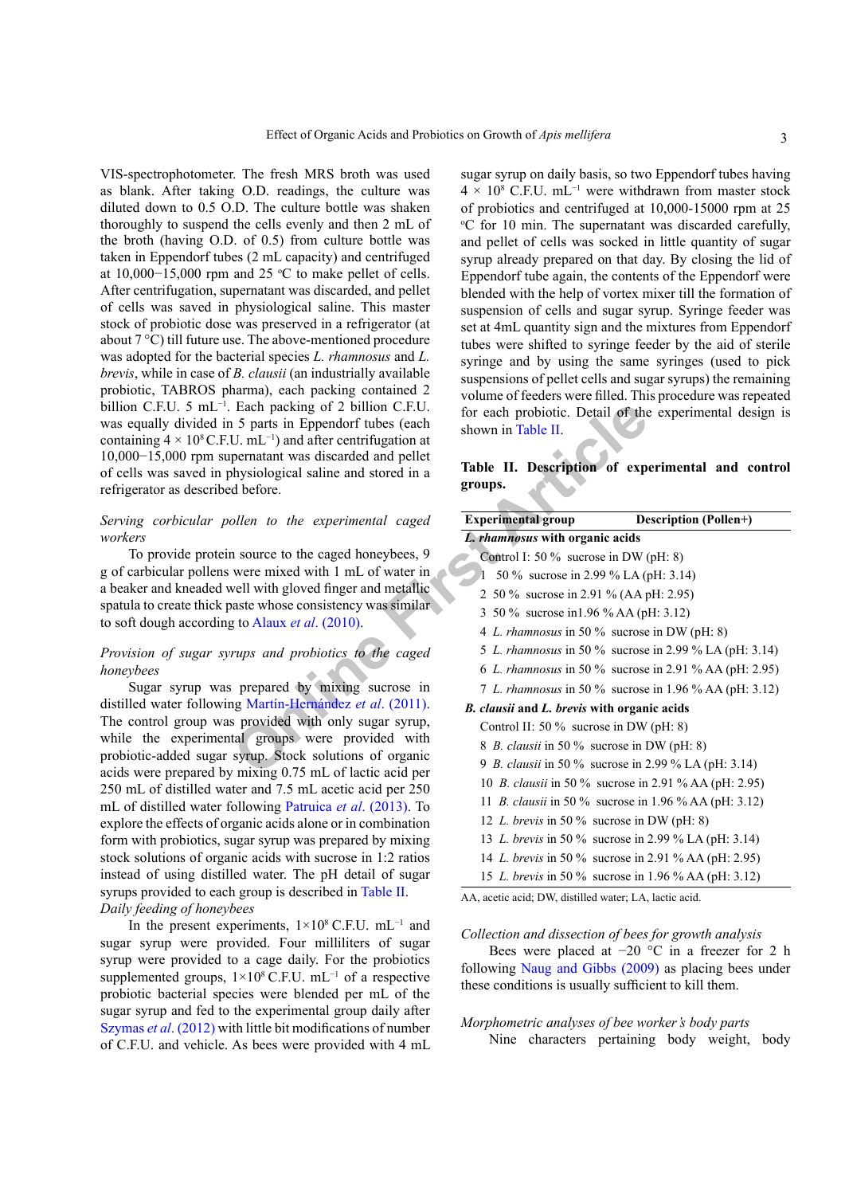VIS-spectrophotometer. The fresh MRS broth was used as blank. After taking O.D. readings, the culture was diluted down to 0.5 O.D. The culture bottle was shaken thoroughly to suspend the cells evenly and then 2 mL of the broth (having O.D. of 0.5) from culture bottle was taken in Eppendorf tubes (2 mL capacity) and centrifuged at  $10,000-15,000$  rpm and 25 °C to make pellet of cells. After centrifugation, supernatant was discarded, and pellet of cells was saved in physiological saline. This master stock of probiotic dose was preserved in a refrigerator (at about 7 °C) till future use. The above-mentioned procedure was adopted for the bacterial species *L. rhamnosus* and *L. brevis*, while in case of *B. clausii* (an industrially available probiotic, TABROS pharma), each packing contained 2 billion C.F.U. 5 mL−1. Each packing of 2 billion C.F.U. was equally divided in 5 parts in Eppendorf tubes (each containing  $4 \times 10^8$  C.F.U. mL<sup>-1</sup>) and after centrifugation at 10,000−15,000 rpm supernatant was discarded and pellet of cells was saved in physiological saline and stored in a refrigerator as described before.

#### *Serving corbicular pollen to the experimental caged workers*

To provide protein source to the caged honeybees, 9 g of carbicular pollens were mixed with 1 mL of water in a beaker and kneaded well with gloved finger and metallic spatula to create thick paste whose consistency was similar to soft dough according to Alaux *et al*. (2010).

## *Provision of sugar syrups and probiotics to the caged honeybees*

Sugar syrup was prepared by mixing sucrose in distilled water following Martín-Hernández *et al*. (2011). The control group was provided with only sugar syrup, while the experimental groups were provided with probiotic-added sugar syrup. Stock solutions of organic acids were prepared by mixing 0.75 mL of lactic acid per 250 mL of distilled water and 7.5 mL acetic acid per 250 mL of distilled water following [Patruica](#page-6-5) *et al*. (2013). To explore the effects of organic acids alone or in combination form with probiotics, sugar syrup was prepared by mixing stock solutions of organic acids with sucrose in 1:2 ratios instead of using distilled water. The pH detail of sugar syrups provided to each group is described in [Table II.](#page-2-0) *Daily feeding of honeybees*

In the present experiments,  $1\times10^8$  C.F.U. mL<sup>-1</sup> and sugar syrup were provided. Four milliliters of sugar syrup were provided to a cage daily. For the probiotics supplemented groups,  $1\times10^8$  C.F.U. mL<sup>-1</sup> of a respective probiotic bacterial species were blended per mL of the sugar syrup and fed to the experimental group daily after [Szymas](#page-6-8) *et al*. (2012) with little bit modifications of number of C.F.U. and vehicle. As bees were provided with 4 mL

sugar syrup on daily basis, so two Eppendorf tubes having  $4 \times 10^8$  C.F.U. mL<sup>-1</sup> were withdrawn from master stock of probiotics and centrifuged at 10,000-15000 rpm at 25 o C for 10 min. The supernatant was discarded carefully, and pellet of cells was socked in little quantity of sugar syrup already prepared on that day. By closing the lid of Eppendorf tube again, the contents of the Eppendorf were blended with the help of vortex mixer till the formation of suspension of cells and sugar syrup. Syringe feeder was set at 4mL quantity sign and the mixtures from Eppendorf tubes were shifted to syringe feeder by the aid of sterile syringe and by using the same syringes (used to pick suspensions of pellet cells and sugar syrups) the remaining volume of feeders were filled. This procedure was repeated for each probiotic. Detail of the experimental design is shown in Table II.

## <span id="page-2-0"></span>**Table II. Description of experimental and control groups.**

| Each packing of 2 billion C.F.U.<br>5 parts in Eppendorf tubes (each<br>$U.$ mL $^{-1}$ ) and after centrifugation at | for each probiotic. Detail of the experimental design is<br>shown in Table II. |                                                              |  |  |  |
|-----------------------------------------------------------------------------------------------------------------------|--------------------------------------------------------------------------------|--------------------------------------------------------------|--|--|--|
| pernatant was discarded and pellet<br>hysiological saline and stored in a<br>d before.                                | groups.                                                                        | Table II. Description of experimental and control            |  |  |  |
| ollen to the experimental caged                                                                                       | <b>Experimental group</b>                                                      | <b>Description (Pollen+)</b>                                 |  |  |  |
|                                                                                                                       | L. rhamnosus with organic acids                                                |                                                              |  |  |  |
| n source to the caged honeybees, 9                                                                                    | Control I: 50 % sucrose in DW (pH: 8)                                          |                                                              |  |  |  |
| were mixed with 1 mL of water in                                                                                      | 50 % sucrose in 2.99 % LA (pH: 3.14)                                           |                                                              |  |  |  |
| vell with gloved finger and metallic                                                                                  | 2 50 % sucrose in 2.91 % (AA pH: 2.95)                                         |                                                              |  |  |  |
| aste whose consistency was similar                                                                                    | 3 50 % sucrose in 1.96 % AA (pH: 3.12)                                         |                                                              |  |  |  |
| g to Alaux <i>et al.</i> (2010).                                                                                      |                                                                                | 4 L. rhamnosus in 50 % sucrose in DW (pH: 8)                 |  |  |  |
| rups and probiotics to the caged                                                                                      |                                                                                | 5 L. rhamnosus in 50 % sucrose in 2.99 % LA (pH: 3.14)       |  |  |  |
|                                                                                                                       |                                                                                | 6 L. rhamnosus in 50 % sucrose in 2.91 % AA (pH: 2.95)       |  |  |  |
| prepared by mixing sucrose in                                                                                         |                                                                                | 7 L. rhamnosus in 50 % sucrose in 1.96 % AA (pH: 3.12)       |  |  |  |
| ng Martín-Hernández et al. (2011).                                                                                    | B. clausii and L. brevis with organic acids                                    |                                                              |  |  |  |
| s provided with only sugar syrup,                                                                                     | Control II: 50 % sucrose in DW (pH: 8)                                         |                                                              |  |  |  |
| tal groups were provided with                                                                                         | 8 B. clausii in 50 % sucrose in DW (pH: 8)                                     |                                                              |  |  |  |
| syrup. Stock solutions of organic                                                                                     |                                                                                | 9 B. clausii in 50 % sucrose in 2.99 % LA (pH: 3.14)         |  |  |  |
| mixing 0.75 mL of lactic acid per<br>ter and 7.5 mL acetic acid per 250                                               |                                                                                | 10 B. clausii in 50 % sucrose in 2.91 % AA (pH: 2.95)        |  |  |  |
| ollowing Patruica et al. (2013). To                                                                                   |                                                                                | 11 <i>B. clausii</i> in 50 % sucrose in 1.96 % AA (pH: 3.12) |  |  |  |
| ganic acids alone or in combination                                                                                   | 12 L. brevis in 50 % sucrose in DW (pH: 8)                                     |                                                              |  |  |  |
| ugar syrup was prepared by mixing                                                                                     |                                                                                | 13 L. brevis in 50 % sucrose in 2.99 % LA (pH: 3.14)         |  |  |  |
| nic acids with sucrose in 1:2 ratios                                                                                  |                                                                                | 14 L. brevis in 50 % sucrose in 2.91 % AA (pH: 2.95)         |  |  |  |
| led water. The pH detail of sugar                                                                                     |                                                                                | 15 L. brevis in 50 % sucrose in 1.96 % AA (pH: 3.12)         |  |  |  |
| a group is described in Table II                                                                                      |                                                                                |                                                              |  |  |  |

AA, acetic acid; DW, distilled water; LA, lactic acid.

#### *Collection and dissection of bees for growth analysis*

Bees were placed at −20 °C in a freezer for 2 h following [Naug and Gibbs \(2009\)](#page-6-9) as placing bees under these conditions is usually sufficient to kill them.

*Morphometric analyses of bee worker's body parts* Nine characters pertaining body weight, body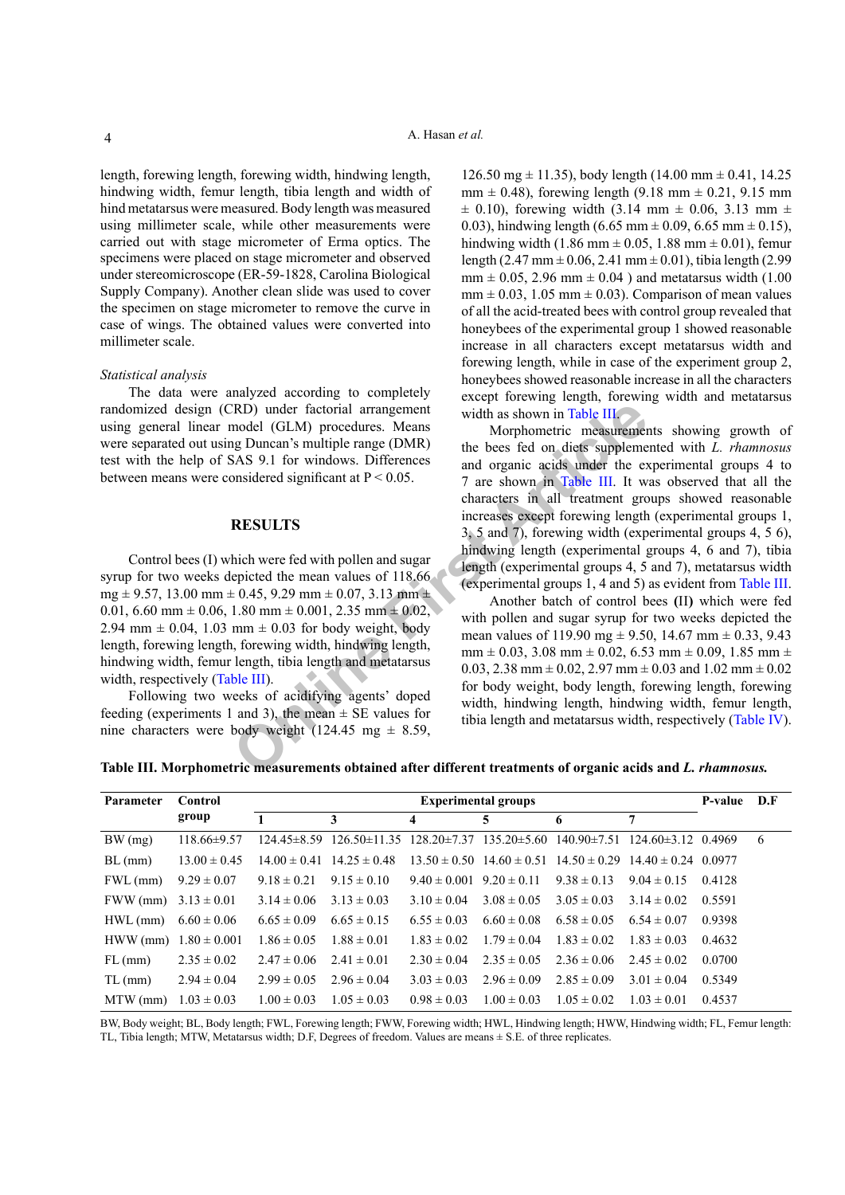length, forewing length, forewing width, hindwing length, hindwing width, femur length, tibia length and width of hind metatarsus were measured. Body length was measured using millimeter scale, while other measurements were carried out with stage micrometer of Erma optics. The specimens were placed on stage micrometer and observed under stereomicroscope (ER-59-1828, Carolina Biological Supply Company). Another clean slide was used to cover the specimen on stage micrometer to remove the curve in case of wings. The obtained values were converted into millimeter scale.

#### *Statistical analysis*

The data were analyzed according to completely randomized design (CRD) under factorial arrangement using general linear model (GLM) procedures. Means were separated out using Duncan's multiple range (DMR) test with the help of SAS 9.1 for windows. Differences between means were considered significant at  $P < 0.05$ .

#### **RESULTS**

Control bees (I) which were fed with pollen and sugar syrup for two weeks depicted the mean values of 118.66  $mg \pm 9.57$ , 13.00 mm  $\pm$  0.45, 9.29 mm  $\pm$  0.07, 3.13 mm  $\pm$ 0.01, 6.60 mm  $\pm$  0.06, 1.80 mm  $\pm$  0.001, 2.35 mm  $\pm$  0.02, 2.94 mm  $\pm$  0.04, 1.03 mm  $\pm$  0.03 for body weight, body length, forewing length, forewing width, hindwing length, hindwing width, femur length, tibia length and metatarsus width, respectively ([Table III](#page-3-0)).

Following two weeks of acidifying agents' doped feeding (experiments 1 and 3), the mean  $\pm$  SE values for nine characters were body weight (124.45 mg  $\pm$  8.59,

126.50 mg  $\pm$  11.35), body length (14.00 mm  $\pm$  0.41, 14.25  $mm \pm 0.48$ ), forewing length (9.18 mm  $\pm 0.21$ , 9.15 mm  $\pm$  0.10), forewing width (3.14 mm  $\pm$  0.06, 3.13 mm  $\pm$ 0.03), hindwing length (6.65 mm  $\pm$  0.09, 6.65 mm  $\pm$  0.15), hindwing width (1.86 mm  $\pm$  0.05, 1.88 mm  $\pm$  0.01), femur length (2.47 mm  $\pm$  0.06, 2.41 mm  $\pm$  0.01), tibia length (2.99  $mm \pm 0.05$ , 2.96 mm  $\pm 0.04$  ) and metatarsus width (1.00  $mm \pm 0.03$ , 1.05 mm  $\pm 0.03$ ). Comparison of mean values of all the acid-treated bees with control group revealed that honeybees of the experimental group 1 showed reasonable increase in all characters except metatarsus width and forewing length, while in case of the experiment group 2, honeybees showed reasonable increase in all the characters except forewing length, forewing width and metatarsus width as shown in Table III.

The Tation of a read in the same that the section of smultiple rangement<br>
SAS 9.1 for windows. Differences<br>
SAS 9.1 for windows the bees felon diets suppleme<br>
onsidered significant at P<0.05. The shown in Table III. It wa Morphometric measurements showing growth of the bees fed on diets supplemented with *L. rhamnosus* and organic acids under the experimental groups 4 to 7 are shown in Table III. It was observed that all the characters in all treatment groups showed reasonable increases except forewing length (experimental groups 1, 3, 5 and 7), forewing width (experimental groups 4, 5 6), hindwing length (experimental groups 4, 6 and 7), tibia length (experimental groups 4, 5 and 7), metatarsus width (experimental groups 1, 4 and 5) as evident from [Table III](#page-3-0).

Another batch of control bees **(**II**)** which were fed with pollen and sugar syrup for two weeks depicted the mean values of 119.90 mg  $\pm$  9.50, 14.67 mm  $\pm$  0.33, 9.43  $mm \pm 0.03$ , 3.08 mm  $\pm 0.02$ , 6.53 mm  $\pm 0.09$ , 1.85 mm  $\pm$ 0.03, 2.38 mm  $\pm$  0.02, 2.97 mm  $\pm$  0.03 and 1.02 mm  $\pm$  0.02 for body weight, body length, forewing length, forewing width, hindwing length, hindwing width, femur length, tibia length and metatarsus width, respectively ([Table IV](#page-4-0)).

<span id="page-3-0"></span>**Table III. Morphometric measurements obtained after different treatments of organic acids and** *L. rhamnosus.*

| Parameter                 | Control           | <b>Experimental groups</b> |                                                                                                           |                                  |                 |                 |                                                                            | P-value D.F |    |
|---------------------------|-------------------|----------------------------|-----------------------------------------------------------------------------------------------------------|----------------------------------|-----------------|-----------------|----------------------------------------------------------------------------|-------------|----|
|                           | group             | $\mathbf{1}$               | 3                                                                                                         | 4                                | 5               | 6               | 7                                                                          |             |    |
| BW(mg)                    | $118.66 \pm 9.57$ |                            | $124.45\pm8.59$ $126.50\pm11.35$ $128.20\pm7.37$ $135.20\pm5.60$ $140.90\pm7.51$ $124.60\pm3.12$ $0.4969$ |                                  |                 |                 |                                                                            |             | -6 |
| $BL$ (mm)                 | $13.00 \pm 0.45$  |                            | $14.00 \pm 0.41$ $14.25 \pm 0.48$                                                                         |                                  |                 |                 | $13.50 \pm 0.50$ $14.60 \pm 0.51$ $14.50 \pm 0.29$ $14.40 \pm 0.24$ 0.0977 |             |    |
| $FWL$ (mm)                | $9.29 \pm 0.07$   | $9.18 \pm 0.21$            | $9.15 \pm 0.10$                                                                                           | $9.40 \pm 0.001$ $9.20 \pm 0.11$ |                 | $9.38 \pm 0.13$ | $9.04 \pm 0.15$                                                            | 0.4128      |    |
| FWW (mm) $3.13 \pm 0.01$  |                   | $3.14 \pm 0.06$            | $3.13 \pm 0.03$                                                                                           | $3.10 \pm 0.04$                  | $3.08 \pm 0.05$ | $3.05 \pm 0.03$ | $3.14 \pm 0.02$                                                            | 0.5591      |    |
| $HWL$ (mm)                | $6.60 \pm 0.06$   | $6.65 \pm 0.09$            | $6.65 \pm 0.15$                                                                                           | $6.55 \pm 0.03$                  | $6.60 \pm 0.08$ | $6.58 \pm 0.05$ | $6.54 \pm 0.07$                                                            | 0.9398      |    |
| HWW (mm) $1.80 \pm 0.001$ |                   | $1.86 \pm 0.05$            | $1.88 \pm 0.01$                                                                                           | $1.83 \pm 0.02$                  | $1.79 \pm 0.04$ | $1.83 \pm 0.02$ | $1.83 \pm 0.03$                                                            | 0.4632      |    |
| $FL$ (mm)                 | $2.35 \pm 0.02$   | $2.47 \pm 0.06$            | $2.41 \pm 0.01$                                                                                           | $2.30 \pm 0.04$                  | $2.35 \pm 0.05$ | $2.36 \pm 0.06$ | $2.45 \pm 0.02$                                                            | 0.0700      |    |
| $TL$ (mm)                 | $2.94 \pm 0.04$   | $2.99 \pm 0.05$            | $2.96 \pm 0.04$                                                                                           | $3.03 \pm 0.03$                  | $2.96 \pm 0.09$ | $2.85 \pm 0.09$ | $3.01 \pm 0.04$                                                            | 0.5349      |    |
| MTW (mm)                  | $1.03 \pm 0.03$   | $1.00 \pm 0.03$            | $1.05 \pm 0.03$                                                                                           | $0.98 \pm 0.03$                  | $1.00 \pm 0.03$ | $1.05 \pm 0.02$ | $1.03 \pm 0.01$                                                            | 0.4537      |    |

BW, Body weight; BL, Body length; FWL, Forewing length; FWW, Forewing width; HWL, Hindwing length; HWW, Hindwing width; FL, Femur length: TL, Tibia length; MTW, Metatarsus width; D.F, Degrees of freedom. Values are means ± S.E. of three replicates.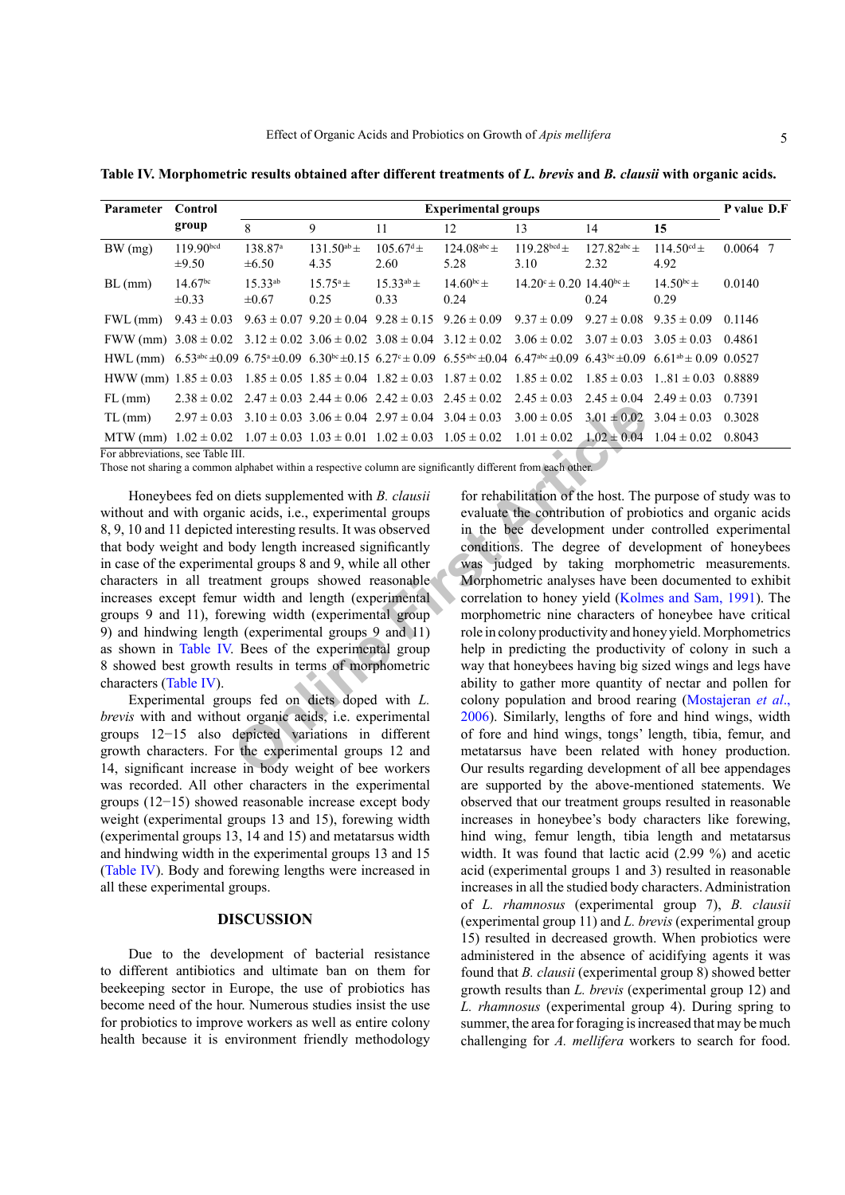| <b>Parameter</b> | Control                             | <b>Experimental groups</b>        |                           |                               |                                                                                                                                                                                        |                                                |                          | P value D.F             |            |
|------------------|-------------------------------------|-----------------------------------|---------------------------|-------------------------------|----------------------------------------------------------------------------------------------------------------------------------------------------------------------------------------|------------------------------------------------|--------------------------|-------------------------|------------|
|                  | group                               | 8                                 | 9                         | 11                            | 12                                                                                                                                                                                     | 13                                             | 14                       | 15                      |            |
| BW(mg)           | 119.90 <sup>bcd</sup><br>$\pm 9.50$ | 138.87 <sup>a</sup><br>$\pm 6.50$ | $131.50^{ab} \pm$<br>4.35 | $105.67^{\text{d}}$ ±<br>2.60 | $124.08^{abc} \pm$<br>5.28                                                                                                                                                             | 119 28 bcd $\pm$<br>3.10                       | $127.82^{abc}$ ±<br>2.32 | $114.50^{cd}$ ±<br>4.92 | $0.0064$ 7 |
| $BL$ (mm)        | 14.67 <sup>bc</sup><br>$\pm 0.33$   | $15.33^{ab}$<br>$\pm 0.67$        | $15.75^{\circ}$ ±<br>0.25 | $15.33^{ab}$ ±<br>0.33        | $14.60^{bc} \pm$<br>0.24                                                                                                                                                               | $14.20^{\circ} \pm 0.20$ $14.40^{\circ} \pm 1$ | 0.24                     | $14.50^{bc}$ ±<br>0.29  | 0.0140     |
| $FWL$ (mm)       | $9.43 \pm 0.03$                     |                                   |                           |                               | $9.63 \pm 0.07$ $9.20 \pm 0.04$ $9.28 \pm 0.15$ $9.26 \pm 0.09$                                                                                                                        | $9.37 \pm 0.09$                                | $9.27 \pm 0.08$          | $9.35 \pm 0.09$         | 0.1146     |
|                  |                                     |                                   |                           |                               | FWW (mm) $3.08 \pm 0.02$ $3.12 \pm 0.02$ $3.06 \pm 0.02$ $3.08 \pm 0.04$ $3.12 \pm 0.02$ $3.06 \pm 0.02$ $3.07 \pm 0.03$ $3.05 \pm 0.03$ 0.4861                                        |                                                |                          |                         |            |
|                  |                                     |                                   |                           |                               | HWL (mm) $6.53^{abc} \pm 0.09$ $6.75^a \pm 0.09$ $6.30^{bc} \pm 0.15$ $6.27^c \pm 0.09$ $6.55^{abc} \pm 0.04$ $6.47^{abc} \pm 0.09$ $6.43^{bc} \pm 0.09$ $6.61^{ab} \pm 0.09$ $0.0527$ |                                                |                          |                         |            |
|                  |                                     |                                   |                           |                               | HWW (mm) $1.85 \pm 0.03$ $1.85 \pm 0.05$ $1.85 \pm 0.04$ $1.82 \pm 0.03$ $1.87 \pm 0.02$ $1.85 \pm 0.02$ $1.85 \pm 0.03$                                                               |                                                |                          | $1.81 \pm 0.03$ 0.8889  |            |
| $FL$ (mm)        |                                     |                                   |                           |                               | $2.38 \pm 0.02$ $2.47 \pm 0.03$ $2.44 \pm 0.06$ $2.42 \pm 0.03$ $2.45 \pm 0.02$ $2.45 \pm 0.03$ $2.45 \pm 0.04$ $2.49 \pm 0.03$ $0.7391$                                               |                                                |                          |                         |            |
| $TL$ (mm)        | $2.97 \pm 0.03$                     |                                   |                           |                               | $3.10 \pm 0.03$ $3.06 \pm 0.04$ $2.97 \pm 0.04$ $3.04 \pm 0.03$ $3.00 \pm 0.05$ $3.01 \pm 0.02$                                                                                        |                                                |                          | $3.04 \pm 0.03$ 0.3028  |            |
|                  |                                     |                                   |                           |                               | MTW (mm) $1.02 \pm 0.02$ $1.07 \pm 0.03$ $1.03 \pm 0.01$ $1.02 \pm 0.03$ $1.05 \pm 0.02$ $1.01 \pm 0.02$                                                                               |                                                | $1.02 \pm 0.04$          | $1.04 \pm 0.02$ 0.8043  |            |

<span id="page-4-0"></span>**Table IV. Morphometric results obtained after different treatments of** *L. brevis* **and** *B. clausii* **with organic acids.**

For abbreviations, see Table III.

Those not sharing a common alphabet within a respective column are significantly different from each other.

Honeybees fed on diets supplemented with *B. clausii* without and with organic acids, i.e., experimental groups 8, 9, 10 and 11 depicted interesting results. It was observed that body weight and body length increased significantly in case of the experimental groups 8 and 9, while all other characters in all treatment groups showed reasonable increases except femur width and length (experimental groups 9 and 11), forewing width (experimental group 9) and hindwing length (experimental groups 9 and 11) as shown in [Table IV](#page-4-0). Bees of the experimental group 8 showed best growth results in terms of morphometric characters [\(Table IV](#page-4-0)).

Experimental groups fed on diets doped with *L. brevis* with and without organic acids, i.e. experimental groups 12−15 also depicted variations in different growth characters. For the experimental groups 12 and 14, significant increase in body weight of bee workers was recorded. All other characters in the experimental groups (12−15) showed reasonable increase except body weight (experimental groups 13 and 15), forewing width (experimental groups 13, 14 and 15) and metatarsus width and hindwing width in the experimental groups 13 and 15 [\(Table IV\)](#page-4-0). Body and forewing lengths were increased in all these experimental groups.

#### **DISCUSSION**

Due to the development of bacterial resistance to different antibiotics and ultimate ban on them for beekeeping sector in Europe, the use of probiotics has become need of the hour. Numerous studies insist the use for probiotics to improve workers as well as entire colony health because it is environment friendly methodology

**Fig. 1.1.1.1.**<br> **Examplemented**  $2.97 \pm 0.04$  **CO**  $3.04 \pm 0.03$   $3.06 \pm 0.04$   $2.97 \pm 0.04$   $3.04 \pm 0.03$   $3.00 \pm 0.05$   $3.01 \pm 0.02$ <br> **III.**<br> **III.**<br> **III.**<br> **III.**<br> **III.**<br> **III.**<br> **III.**<br> **III.**<br> **III.**<br> **III.**<br> **III** for rehabilitation of the host. The purpose of study was to evaluate the contribution of probiotics and organic acids in the bee development under controlled experimental conditions. The degree of development of honeybees was judged by taking morphometric measurements. Morphometric analyses have been documented to exhibit correlation to honey yield ([Kolmes and Sam, 1991\)](#page-6-10). The morphometric nine characters of honeybee have critical role in colony productivity and honey yield. Morphometrics help in predicting the productivity of colony in such a way that honeybees having big sized wings and legs have ability to gather more quantity of nectar and pollen for colony population and brood rearing [\(Mostajeran](#page-6-11) *et al*., 2006). Similarly, lengths of fore and hind wings, width of fore and hind wings, tongs' length, tibia, femur, and metatarsus have been related with honey production. Our results regarding development of all bee appendages are supported by the above-mentioned statements. We observed that our treatment groups resulted in reasonable increases in honeybee's body characters like forewing, hind wing, femur length, tibia length and metatarsus width. It was found that lactic acid (2.99 %) and acetic acid (experimental groups 1 and 3) resulted in reasonable increases in all the studied body characters. Administration of *L. rhamnosus* (experimental group 7), *B. clausii* (experimental group 11) and *L. brevis* (experimental group 15) resulted in decreased growth. When probiotics were administered in the absence of acidifying agents it was found that *B. clausii* (experimental group 8) showed better growth results than *L. brevis* (experimental group 12) and *L. rhamnosus* (experimental group 4). During spring to summer, the area for foraging is increased that may be much challenging for *A. mellifera* workers to search for food.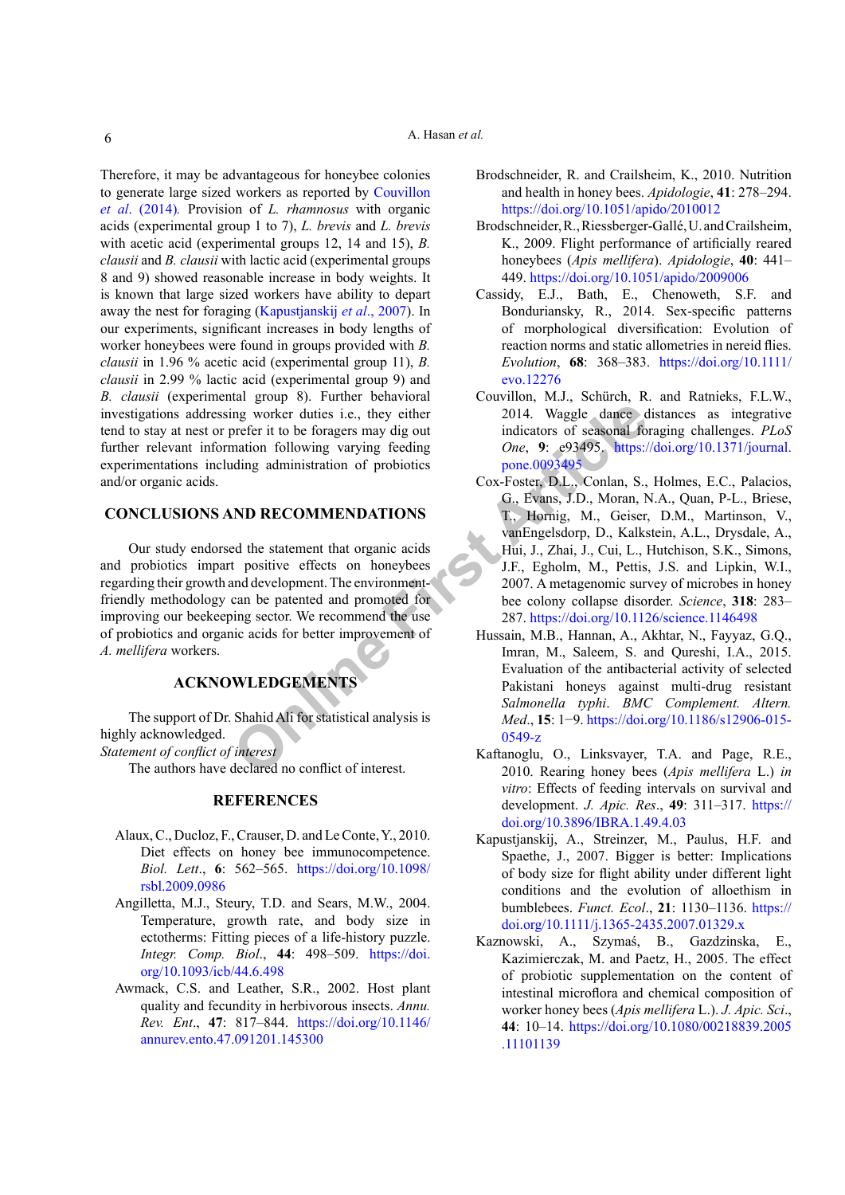Therefore, it may be advantageous for honeybee colonies to generate large sized workers as reported by Couvillon *et al*. (2014)*.* Provision of *L. rhamnosus* with organic acids (experimental group 1 to 7), *L. brevis* and *L. brevis* with acetic acid (experimental groups 12, 14 and 15), *B. clausii* and *B. clausii* with lactic acid (experimental groups 8 and 9) showed reasonable increase in body weights. It is known that large sized workers have ability to depart away the nest for foraging [\(Kapustjanskij](#page-5-8) *et al*., 2007). In our experiments, significant increases in body lengths of worker honeybees were found in groups provided with *B. clausii* in 1.96 % acetic acid (experimental group 11), *B. clausii* in 2.99 % lactic acid (experimental group 9) and *B. clausii* (experimental group 8). Further behavioral investigations addressing worker duties i.e., they either tend to stay at nest or prefer it to be foragers may dig out further relevant information following varying feeding experimentations including administration of probiotics and/or organic acids.

## **CONCLUSIONS AND RECOMMENDATIONS**

Our study endorsed the statement that organic acids and probiotics impart positive effects on honeybees regarding their growth and development. The environmentfriendly methodology can be patented and promoted for improving our beekeeping sector. We recommend the use of probiotics and organic acids for better improvement of *A. mellifera* workers.

# **ACKNOWLEDGEMENTS**

The support of Dr. Shahid Ali for statistical analysis is highly acknowledged.

*Statement of conflict of interest*

The authors have declared no conflict of interest.

## <span id="page-5-8"></span><span id="page-5-5"></span>**REFERENCES**

- <span id="page-5-7"></span>Alaux, C., Ducloz, F., Crauser, D. and Le Conte, Y., 2010. Diet effects on honey bee immunocompetence. *Biol. Lett*., **6**: 562–565. [https://doi.org/10.1098/](https://doi.org/10.1098/rsbl.2009.0986) [rsbl.2009.0986](https://doi.org/10.1098/rsbl.2009.0986)
- <span id="page-5-2"></span>Angilletta, M.J., Steury, T.D. and Sears, M.W., 2004. Temperature, growth rate, and body size in ectotherms: Fitting pieces of a life-history puzzle. *Integr. Comp. Biol*., **44**: 498–509. [https://doi.](https://doi.org/10.1093/icb/44.6.498) [org/10.1093/icb/44.6.498](https://doi.org/10.1093/icb/44.6.498)
- <span id="page-5-4"></span>Awmack, C.S. and Leather, S.R., 2002. Host plant quality and fecundity in herbivorous insects. *Annu. Rev. Ent*., **47**: 817–844. [https://doi.org/10.1146/](https://doi.org/10.1146/annurev.ento.47.091201.145300) [annurev.ento.47.091201.145300](https://doi.org/10.1146/annurev.ento.47.091201.145300)
- <span id="page-5-1"></span>Brodschneider, R. and Crailsheim, K., 2010. Nutrition and health in honey bees. *Apidologie*, **41**: 278–294. <https://doi.org/10.1051/apido/2010012>
- Brodschneider, R., Riessberger-Gallé, U. and Crailsheim, K., 2009. Flight performance of artificially reared honeybees (*Apis mellifera*). *Apidologie*, **40**: 441– 449.<https://doi.org/10.1051/apido/2009006>
- <span id="page-5-3"></span>Cassidy, E.J., Bath, E., Chenoweth, S.F. and Bonduriansky, R., 2014. Sex-specific patterns of morphological diversification: Evolution of reaction norms and static allometries in nereid flies. *Evolution*, **68**: 368–383. [https://doi.org/10.1111/](https://doi.org/10.1111/evo.12276) [evo.12276](https://doi.org/10.1111/evo.12276)
- <span id="page-5-6"></span><span id="page-5-0"></span>Couvillon, M.J., Schürch, R. and Ratnieks, F.L.W., 2014. Waggle dance distances as integrative indicators of seasonal foraging challenges. *PLoS One*, **9**: e93495. [https://doi.org/10.1371/journal.](https://doi.org/10.1371/journal.pone.0093495) pone.0093495
- ing worker duties i.e., they either<br>
orefer it to be foragers may dig out<br>
indicators of seasonal fo<br>
mation following varying feeding<br>
one, 9: e93495. https://<br>
ding administration of probio[tic](https://doi.org/10.1371/journal.pone.0093495)s<br>
cox-Foster, D.L., Conlan, Cox-Foster, D.L., Conlan, S., Holmes, E.C., Palacios, G., Evans, J.D., Moran, N.A., Quan, P-L., Briese, T., Hornig, M., Geiser, D.M., Martinson, V., vanEngelsdorp, D., Kalkstein, A.L., Drysdale, A., Hui, J., Zhai, J., Cui, L., Hutchison, S.K., Simons, J.F., Egholm, M., Pettis, J.S. and Lipkin, W.I., 2007. A metagenomic survey of microbes in honey bee colony collapse disorder. *Science*, **318**: 283– 287.<https://doi.org/10.1126/science.1146498>
	- Hussain, M.B., Hannan, A., Akhtar, N., Fayyaz, G.Q., Imran, M., Saleem, S. and Qureshi, I.A., 2015. Evaluation of the antibacterial activity of selected Pakistani honeys against multi-drug resistant *Salmonella typhi*. *BMC Complement. Altern. Med*., **15**: 1−9. [https://doi.org/10.1186/s12906-015-](https://doi.org/10.1186/s12906-015-0549-z) 0549-z
	- Kaftanoglu, O., Linksvayer, T.A. and Page, R.E., 2010. Rearing honey bees (*Apis mellifera* L.) *in vitro*: Effects of feeding intervals on survival and development. *J. Apic. Res*., **49**: 311–317. [https://](https://doi.org/10.3896/IBRA.1.49.4.03) [doi.org/10.3896/IBRA.1.49.4.03](https://doi.org/10.3896/IBRA.1.49.4.03)
	- Kapustjanskij, A., Streinzer, M., Paulus, H.F. and Spaethe, J., 2007. Bigger is better: Implications of body size for flight ability under different light conditions and the evolution of alloethism in bumblebees. *Funct. Ecol*., **21**: 1130–1136. [https://](https://doi.org/10.1111/j.1365-2435.2007.01329.x) [doi.org/10.1111/j.1365-2435.2007.01329.x](https://doi.org/10.1111/j.1365-2435.2007.01329.x)
	- Kaznowski, A., Szymaś, B., Gazdzinska, E., Kazimierczak, M. and Paetz, H., 2005. The effect of probiotic supplementation on the content of intestinal microflora and chemical composition of worker honey bees (*Apis mellifera* L.). *J. Apic. Sci*., **44**: 10–14. [https://doi.org/10.1080/00218839.2005](https://doi.org/10.1080/00218839.2005.11101139) [.11101139](https://doi.org/10.1080/00218839.2005.11101139)